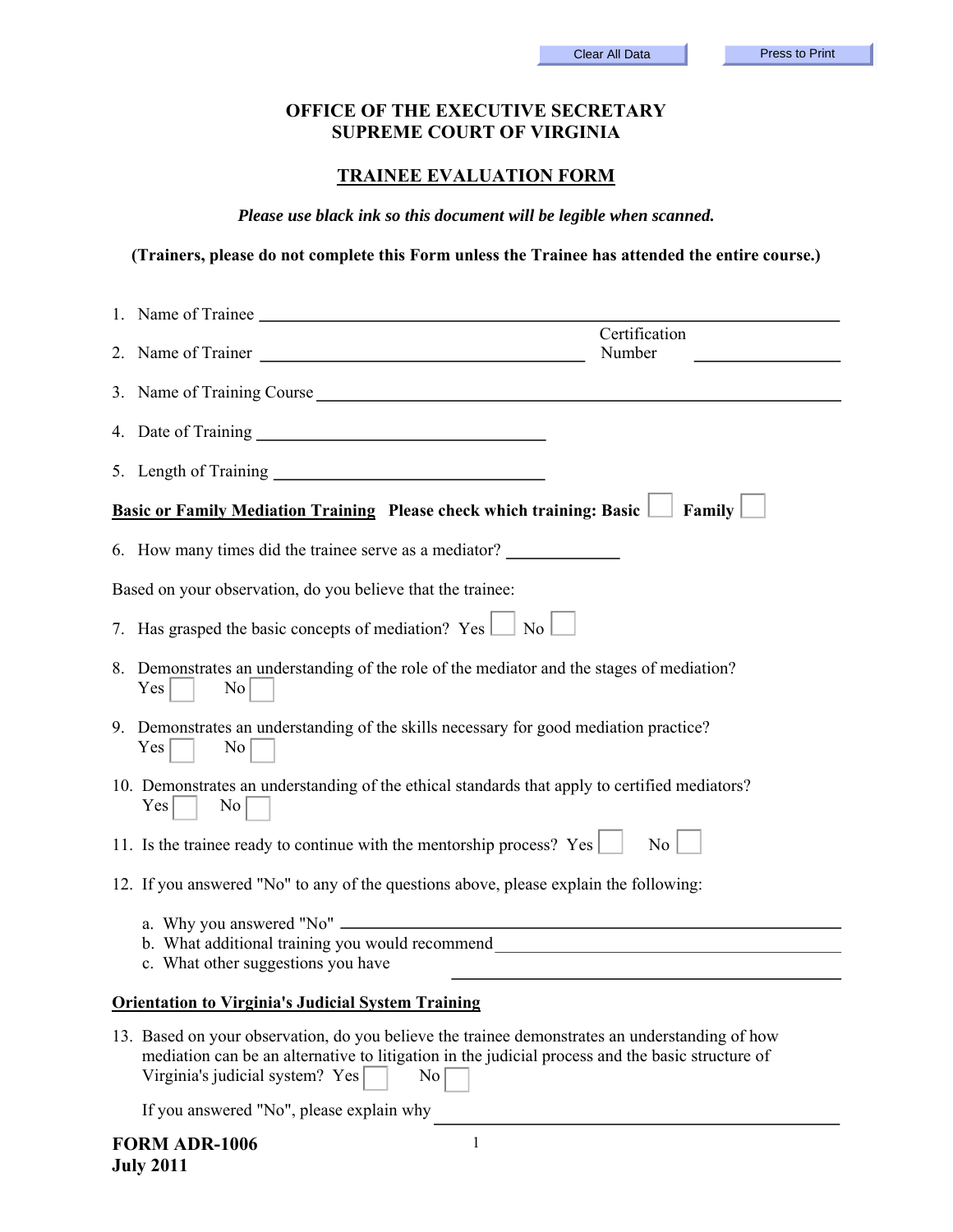## **OFFICE OF THE EXECUTIVE SECRETARY SUPREME COURT OF VIRGINIA**

## **TRAINEE EVALUATION FORM**

*Please use black ink so this document will be legible when scanned.* 

**(Trainers, please do not complete this Form unless the Trainee has attended the entire course.)** 

| 1. Name of Trainee                                                                                                                                                                                                                                       |                         |
|----------------------------------------------------------------------------------------------------------------------------------------------------------------------------------------------------------------------------------------------------------|-------------------------|
|                                                                                                                                                                                                                                                          | Certification<br>Number |
|                                                                                                                                                                                                                                                          |                         |
|                                                                                                                                                                                                                                                          |                         |
|                                                                                                                                                                                                                                                          |                         |
| <b>Basic or Family Mediation Training Please check which training: Basic  </b>                                                                                                                                                                           | <b>Family</b>           |
| 6. How many times did the trainee serve as a mediator?                                                                                                                                                                                                   |                         |
| Based on your observation, do you believe that the trainee:                                                                                                                                                                                              |                         |
| 7. Has grasped the basic concepts of mediation? Yes $\Box$ No $\Box$                                                                                                                                                                                     |                         |
| 8. Demonstrates an understanding of the role of the mediator and the stages of mediation?<br>$\rm{No}$<br>Yes                                                                                                                                            |                         |
| 9. Demonstrates an understanding of the skills necessary for good mediation practice?<br>No<br>Yes                                                                                                                                                       |                         |
| 10. Demonstrates an understanding of the ethical standards that apply to certified mediators?<br>N <sub>o</sub><br>Yes                                                                                                                                   |                         |
| 11. Is the trainee ready to continue with the mentorship process? $Yes$                                                                                                                                                                                  | $\mathbf{N}$ o          |
| 12. If you answered "No" to any of the questions above, please explain the following:                                                                                                                                                                    |                         |
| b. What additional training you would recommend_________________________________<br>c. What other suggestions you have                                                                                                                                   |                         |
| <b>Orientation to Virginia's Judicial System Training</b>                                                                                                                                                                                                |                         |
| 13. Based on your observation, do you believe the trainee demonstrates an understanding of how<br>mediation can be an alternative to litigation in the judicial process and the basic structure of<br>Virginia's judicial system? Yes<br>No <sub>1</sub> |                         |
| If you answered "No", please explain why                                                                                                                                                                                                                 |                         |